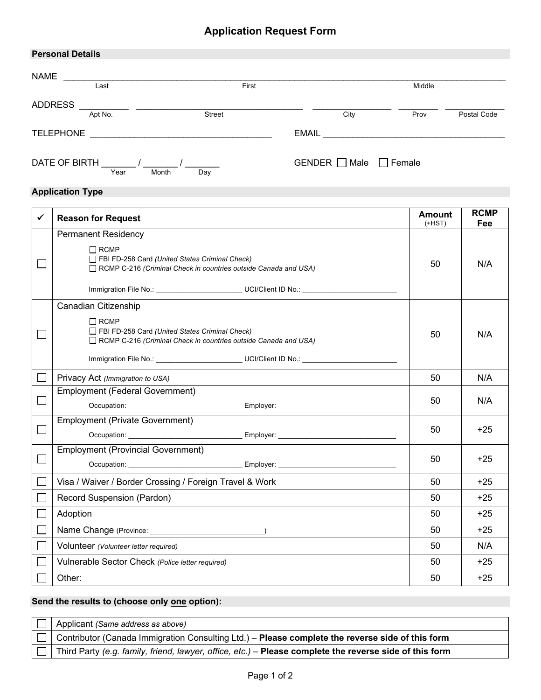| <b>Personal Details</b> |               |               |               |             |
|-------------------------|---------------|---------------|---------------|-------------|
| <b>NAME</b>             |               |               |               |             |
| Last                    | First         |               | Middle        |             |
| <b>ADDRESS</b>          |               |               |               |             |
| Apt No.                 | <b>Street</b> | City          | Prov          | Postal Code |
| <b>TELEPHONE</b>        |               | <b>EMAIL</b>  |               |             |
| DATE OF BIRTH<br>Year   | Month<br>Day  | GENDER □ Male | $\Box$ Female |             |

## **Application Type**

| ✓              | <b>Reason for Request</b>                                                                                                                                             | <b>Amount</b><br>$(+HST)$ | <b>RCMP</b><br>Fee |
|----------------|-----------------------------------------------------------------------------------------------------------------------------------------------------------------------|---------------------------|--------------------|
|                | <b>Permanent Residency</b><br>$\Box$ RCMP<br>FBI FD-258 Card (United States Criminal Check)<br>$\Box$ RCMP C-216 (Criminal Check in countries outside Canada and USA) | 50                        | N/A                |
|                | Canadian Citizenship<br>$\Box$ RCMP<br>FBI FD-258 Card (United States Criminal Check)<br>□ RCMP C-216 (Criminal Check in countries outside Canada and USA)            | 50                        | N/A                |
|                | Privacy Act (Immigration to USA)                                                                                                                                      | 50                        | N/A                |
|                | <b>Employment (Federal Government)</b>                                                                                                                                | 50                        | N/A                |
| $\blacksquare$ | <b>Employment (Private Government)</b>                                                                                                                                | 50                        | $+25$              |
|                | <b>Employment (Provincial Government)</b><br>Occupation: Employer: Employer: Employer:                                                                                | 50                        | $+25$              |
|                | Visa / Waiver / Border Crossing / Foreign Travel & Work                                                                                                               | 50                        | $+25$              |
|                | Record Suspension (Pardon)                                                                                                                                            | 50                        | $+25$              |
|                | Adoption                                                                                                                                                              | 50                        | $+25$              |
|                |                                                                                                                                                                       | 50                        | $+25$              |
|                | Volunteer (Volunteer letter required)                                                                                                                                 | 50                        | N/A                |
|                | Vulnerable Sector Check (Police letter required)                                                                                                                      | 50                        | $+25$              |
|                | Other:                                                                                                                                                                | 50                        | $+25$              |

## **Send the results to (choose only one option):**

| 1 Applicant (Same address as above)                                                                     |
|---------------------------------------------------------------------------------------------------------|
| $\Box$ Contributor (Canada Immigration Consulting Ltd.) – Please complete the reverse side of this form |
| Third Party (e.g. family, friend, lawyer, office, etc.) – Please complete the reverse side of this form |